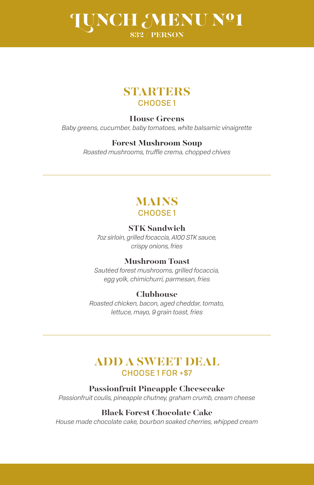# LUNCH MENU Nº1 **\$32 / PERSON**



### **House Greens**

*Baby greens, cucumber, baby tomatoes, white balsamic vinaigrette*

#### **Forest Mushroom Soup**

*Roasted mushrooms, truffle crema, chopped chives*

# **MAINS** CHOOSE 1

### **STK Sandwich**

*7oz sirloin, grilled focaccia, A100 STK sauce, crispy onions, fries*

### **Mushroom Toast**

*Sautéed forest mushrooms, grilled focaccia, egg yolk, chimichurri, parmesan, fries*

#### **Clubhouse**

*Roasted chicken, bacon, aged cheddar, tomato, lettuce, mayo, 9 grain toast, fries*

# **ADD A SWEET DEAL**  CHOOSE 1 FOR +\$7

#### **Passionfruit Pineapple Cheesecake**

*Passionfruit coulis, pineapple chutney, graham crumb, cream cheese*

### **Black Forest Chocolate Cake**

*House made chocolate cake, bourbon soaked cherries, whipped cream*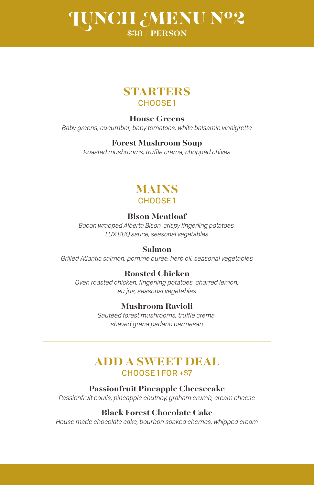# LUNCH MENU Nº2 **\$38 / PERSON**

# **STARTERS** CHOOSE 1

# **House Greens**

*Baby greens, cucumber, baby tomatoes, white balsamic vinaigrette*

# **Forest Mushroom Soup**

*Roasted mushrooms, truffle crema, chopped chives*

# **MAINS** CHOOSE 1

# **Bison Meatloaf**

*Bacon wrapped Alberta Bison, crispy fingerling potatoes, LUX BBQ sauce, seasonal vegetables*

# **Salmon**

*Grilled Atlantic salmon, pomme purée, herb oil, seasonal vegetables*

# **Roasted Chicken**

*Oven roasted chicken, fingerling potatoes, charred lemon, au jus, seasonal vegetables*

# **Mushroom Ravioli**

*Sautéed forest mushrooms, truffle crema, shaved grana padano parmesan*

# **ADD A SWEET DEAL**  CHOOSE 1 FOR +\$7

### **Passionfruit Pineapple Cheesecake**

*Passionfruit coulis, pineapple chutney, graham crumb, cream cheese*

### **Black Forest Chocolate Cake**

*House made chocolate cake, bourbon soaked cherries, whipped cream*